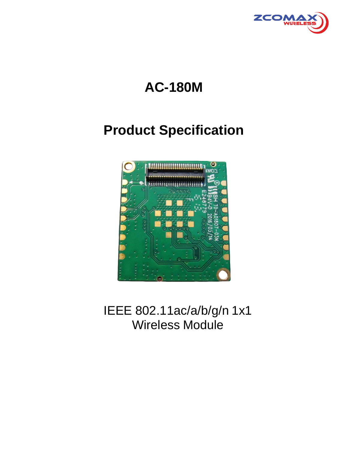

# **AC-180M**

## **Product Specification**



IEEE 802.11ac/a/b/g/n 1x1 Wireless Module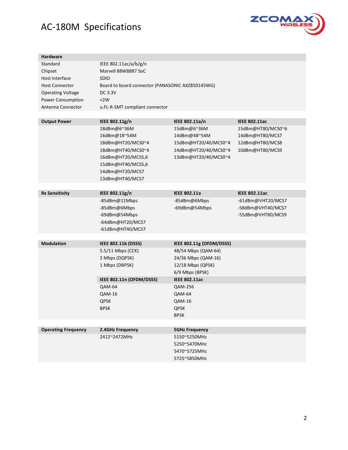

| <b>Hardware</b>            |                                                  |                          |                      |  |  |  |  |
|----------------------------|--------------------------------------------------|--------------------------|----------------------|--|--|--|--|
| Standard                   | IEEE 802.11ac/a/b/g/n                            |                          |                      |  |  |  |  |
| Chipset                    | Marvell 88W8887 SoC                              |                          |                      |  |  |  |  |
| Host Interface             | <b>SDIO</b>                                      |                          |                      |  |  |  |  |
| <b>Host Connector</b>      | Board to board connector (PANASONIC AXZ850145WG) |                          |                      |  |  |  |  |
| <b>Operating Voltage</b>   | DC 3.3V                                          |                          |                      |  |  |  |  |
| Power Consumption          | <2W                                              |                          |                      |  |  |  |  |
| Antenna Connector          | u.FL-R-SMT compliant connector                   |                          |                      |  |  |  |  |
|                            |                                                  |                          |                      |  |  |  |  |
| <b>Output Power</b>        | IEEE 802.11g/n                                   | IEEE 802.11a/n           | <b>IEEE 802.11ac</b> |  |  |  |  |
|                            | 18dBm@6~36M                                      | 15dBm@6~36M              | 15dBm@HT80/MCS0~6    |  |  |  |  |
|                            | 16dBm@18~54M                                     | 14dBm@48~54M             | 14dBm@HT80/MCS7      |  |  |  |  |
|                            | 18dBm@HT20/MCS0~4                                | 15dBm@HT20/40/MCS0~4     | 12dBm@HT80/MCS8      |  |  |  |  |
|                            | 18dBm@HT40/MCS0~4                                | 14dBm@HT20/40/MCS0~4     | 10dBm@HT80/MCS9      |  |  |  |  |
|                            | 16dBm@HT20/MCS5,6                                | 13dBm@HT20/40/MCS0~4     |                      |  |  |  |  |
|                            | 15dBm@HT40/MCS5,6<br>14dBm@HT20/MCS7             |                          |                      |  |  |  |  |
|                            |                                                  |                          |                      |  |  |  |  |
|                            | 13dBm@HT40/MCS7                                  |                          |                      |  |  |  |  |
|                            |                                                  |                          |                      |  |  |  |  |
| <b>Rx Sensitivity</b>      | IEEE 802.11g/n                                   | <b>IEEE 802.11a</b>      | <b>IEEE 802.11ac</b> |  |  |  |  |
|                            | -85dBm@11Mbps                                    | -85dBm@6Mbps             | -61dBm@VHT20/MCS7    |  |  |  |  |
|                            | -85dBm@6Mbps                                     | -69dBm@54Mbps            | -58dBm@VHT40/MCS7    |  |  |  |  |
|                            | -69dBm@54Mbps                                    |                          | -55dBm@VHT80/MCS9    |  |  |  |  |
|                            | -64dBm@HT20/MCS7                                 |                          |                      |  |  |  |  |
|                            | -61dBm@HT40/MCS7                                 |                          |                      |  |  |  |  |
|                            |                                                  |                          |                      |  |  |  |  |
| <b>Modulation</b>          | IEEE 802.11b (DSSS)                              | IEEE 802.11g (OFDM/DSSS) |                      |  |  |  |  |
|                            | 5.5/11 Mbps (CCK)                                | 48/54 Mbps (QAM-64)      |                      |  |  |  |  |
|                            | 2 Mbps (DQPSK)                                   | 24/36 Mbps (QAM-16)      |                      |  |  |  |  |
|                            | 1 Mbps (DBPSK)                                   | 12/18 Mbps (QPSK)        |                      |  |  |  |  |
|                            |                                                  | 6/9 Mbps (BPSK)          |                      |  |  |  |  |
|                            | IEEE 802.11n (OFDM/DSSS)                         | <b>IEEE 802.11ac</b>     |                      |  |  |  |  |
|                            | QAM-64                                           | QAM-256                  |                      |  |  |  |  |
|                            | QAM-16                                           | <b>QAM-64</b>            |                      |  |  |  |  |
|                            | <b>QPSK</b>                                      | <b>QAM-16</b>            |                      |  |  |  |  |
|                            | <b>BPSK</b>                                      | QPSK                     |                      |  |  |  |  |
|                            |                                                  | <b>BPSK</b>              |                      |  |  |  |  |
|                            |                                                  |                          |                      |  |  |  |  |
| <b>Operating Frequency</b> | 2.4GHz Frequency                                 | <b>5GHz Frequency</b>    |                      |  |  |  |  |
|                            | 2412~2472MHz                                     | 5150~5250MHz             |                      |  |  |  |  |
|                            |                                                  | 5250~5470MHz             |                      |  |  |  |  |
| 5470~5725MHz               |                                                  |                          |                      |  |  |  |  |
|                            |                                                  | 5725~5850MHz             |                      |  |  |  |  |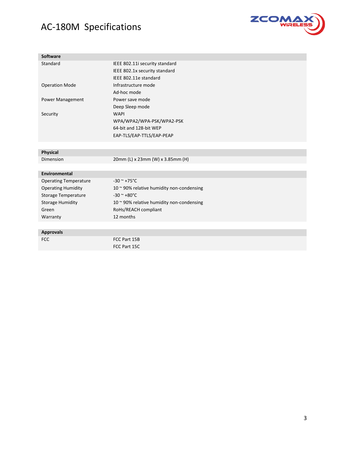

| <b>Software</b>              |                                                   |  |  |
|------------------------------|---------------------------------------------------|--|--|
| Standard                     | IEEE 802.11i security standard                    |  |  |
|                              | IEEE 802.1x security standard                     |  |  |
|                              | IEEE 802.11e standard                             |  |  |
| <b>Operation Mode</b>        | Infrastructure mode                               |  |  |
|                              | Ad-hoc mode                                       |  |  |
| Power Management             | Power save mode                                   |  |  |
|                              | Deep Sleep mode                                   |  |  |
| Security                     | <b>WAPI</b>                                       |  |  |
|                              | WPA/WPA2/WPA-PSK/WPA2-PSK                         |  |  |
|                              | 64-bit and 128-bit WEP                            |  |  |
|                              | EAP-TLS/EAP-TTLS/EAP-PEAP                         |  |  |
|                              |                                                   |  |  |
| <b>Physical</b>              |                                                   |  |  |
| <b>Dimension</b>             | 20mm (L) x 23mm (W) x 3.85mm (H)                  |  |  |
|                              |                                                   |  |  |
| <b>Environmental</b>         |                                                   |  |  |
| <b>Operating Temperature</b> | $-30$ ~ $+75$ °C                                  |  |  |
| <b>Operating Humidity</b>    | 10 ~ 90% relative humidity non-condensing         |  |  |
| Storage Temperature          | $-30$ ~ $+80$ °C                                  |  |  |
| <b>Storage Humidity</b>      | 10 $\approx$ 90% relative humidity non-condensing |  |  |
| Green                        | RoHs/REACH compliant                              |  |  |
| Warranty                     | 12 months                                         |  |  |
|                              |                                                   |  |  |
| <b>Approvals</b>             |                                                   |  |  |
| <b>FCC</b>                   | FCC Part 15B                                      |  |  |
|                              | FCC Part 15C                                      |  |  |
|                              |                                                   |  |  |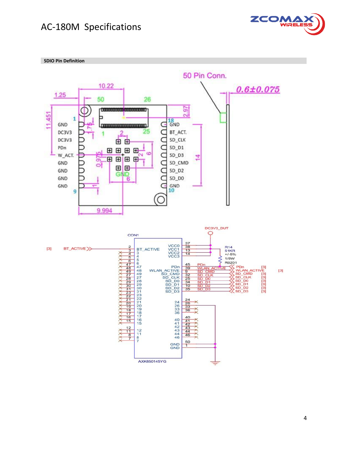